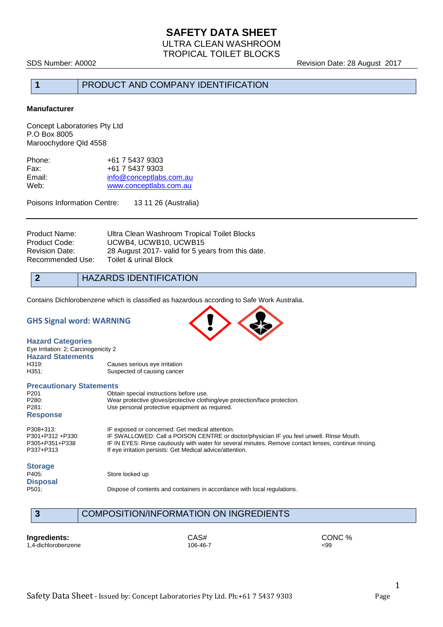## **SAFETY DATA SHEET** ULTRA CLEAN WASHROOM TROPICAL TOILET BLOCKS

SDS Number: A0002 **SDS Number: A0002** Revision Date: 28 August 2017

# **1** PRODUCT AND COMPANY IDENTIFICATION

#### **Manufacturer**

Concept Laboratories Pty Ltd P.O Box 8005 Maroochydore Qld 4558

| +61 7 5437 9303         |
|-------------------------|
| +61 7 5437 9303         |
| info@conceptlabs.com.au |
| www.conceptlabs.com.au  |
|                         |

Poisons Information Centre: 13 11 26 (Australia)

| Product Name:    | Ultra Clean Washroom Tropical Toilet Blocks        |
|------------------|----------------------------------------------------|
| Product Code:    | UCWB4, UCWB10, UCWB15                              |
| Revision Date:   | 28 August 2017 - valid for 5 years from this date. |
| Recommended Use: | Toilet & urinal Block                              |

**2** HAZARDS IDENTIFICATION

Contains Dichlorobenzene which is classified as hazardous according to Safe Work Australia.

#### **GHS Signal word: WARNING**

| <b>Hazard Categories</b><br>Eye Irritation: 2; Carcinogenicity 2 |                               |  |
|------------------------------------------------------------------|-------------------------------|--|
| <b>Hazard Statements</b>                                         |                               |  |
| H319.                                                            | Causes serious eye irritation |  |
| H351:                                                            | Suspected of causing cancer   |  |
|                                                                  |                               |  |

#### **Precautionary Statements**

| P201             | Obtain special instructions before use.                                                               |
|------------------|-------------------------------------------------------------------------------------------------------|
| P280:            | Wear protective gloves/protective clothing/eye protection/face protection.                            |
| P281:            | Use personal protective equipment as required.                                                        |
| <b>Response</b>  |                                                                                                       |
| P308+313:        | IF exposed or concerned: Get medical attention.                                                       |
| P301+P312 +P330: | IF SWALLOWED: Call a POISON CENTRE or doctor/physician IF you feel unwell. Rinse Mouth.               |
| P305+P351+P338   | IF IN EYES: Rinse cautiously with water for several minutes. Remove contact lenses, continue rinsing. |
| P337+P313        | If eye irritation persists: Get Medical advice/attention.                                             |
| Storage          |                                                                                                       |

#### **Storage**

**Disposal**

P405: Store locked up

Dispose of contents and containers in accordance with local regulations.



1,4-dichlorobenzene

**Ingredients:** CAS# CONC % CASH CONC % 29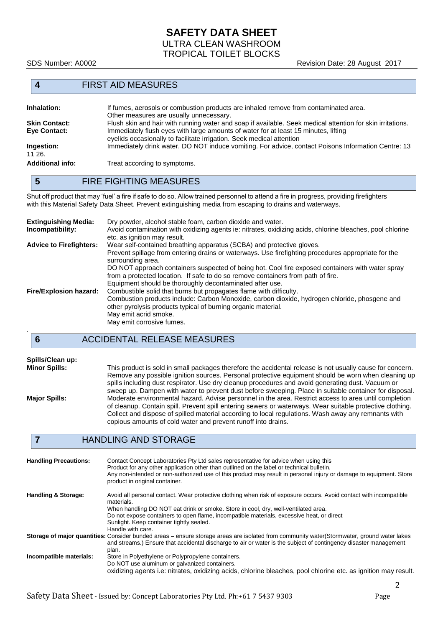# **SAFETY DATA SHEET** ULTRA CLEAN WASHROOM TROPICAL TOILET BLOCKS

SDS Number: A0002 **SDS Number: A0002** Revision Date: 28 August 2017

#### **4** FIRST AID MEASURES

| <b>Inhalation:</b>   | If fumes, aerosols or combustion products are inhaled remove from contaminated area.                       |
|----------------------|------------------------------------------------------------------------------------------------------------|
|                      | Other measures are usually unnecessary.                                                                    |
| <b>Skin Contact:</b> | Flush skin and hair with running water and soap if available. Seek medical attention for skin irritations. |
| Eye Contact:         | Immediately flush eyes with large amounts of water for at least 15 minutes, lifting                        |
|                      | eyelids occasionally to facilitate irrigation. Seek medical attention                                      |
| Ingestion:           | Immediately drink water. DO NOT induce vomiting. For advice, contact Poisons Information Centre: 13        |
| 11 26.               |                                                                                                            |
| Additional info:     | Treat according to symptoms.                                                                               |
|                      |                                                                                                            |

# **5** FIRE FIGHTING MEASURES

Shut off product that may 'fuel' a fire if safe to do so. Allow trained personnel to attend a fire in progress, providing firefighters with this Material Safety Data Sheet. Prevent extinguishing media from escaping to drains and waterways.

| <b>Extinguishing Media:</b><br>Incompatibility: | Dry powder, alcohol stable foam, carbon dioxide and water.<br>Avoid contamination with oxidizing agents ie: nitrates, oxidizing acids, chlorine bleaches, pool chlorine<br>etc. as ignition may result.                                                                                                                                                                                                                                               |
|-------------------------------------------------|-------------------------------------------------------------------------------------------------------------------------------------------------------------------------------------------------------------------------------------------------------------------------------------------------------------------------------------------------------------------------------------------------------------------------------------------------------|
| <b>Advice to Firefighters:</b>                  | Wear self-contained breathing apparatus (SCBA) and protective gloves.<br>Prevent spillage from entering drains or waterways. Use firefighting procedures appropriate for the<br>surrounding area.<br>DO NOT approach containers suspected of being hot. Cool fire exposed containers with water spray<br>from a protected location. If safe to do so remove containers from path of fire.<br>Equipment should be thoroughly decontaminated after use. |
| Fire/Explosion hazard:                          | Combustible solid that burns but propagates flame with difficulty.<br>Combustion products include: Carbon Monoxide, carbon dioxide, hydrogen chloride, phosgene and<br>other pyrolysis products typical of burning organic material.<br>May emit acrid smoke.<br>May emit corrosive fumes.                                                                                                                                                            |

# **6** ACCIDENTAL RELEASE MEASURES

# **Spills/Clean up:**

**Minor Spills:** This product is sold in small packages therefore the accidental release is not usually cause for concern. Remove any possible ignition sources. Personal protective equipment should be worn when cleaning up spills including dust respirator. Use dry cleanup procedures and avoid generating dust. Vacuum or sweep up. Dampen with water to prevent dust before sweeping. Place in suitable container for disposal. **Major Spills:** Moderate environmental hazard. Advise personnel in the area. Restrict access to area until completion of cleanup. Contain spill. Prevent spill entering sewers or waterways. Wear suitable protective clothing. Collect and dispose of spilled material according to local regulations. Wash away any remnants with copious amounts of cold water and prevent runoff into drains.

# **7** HANDLING AND STORAGE

| <b>Handling Precautions:</b>   | Contact Concept Laboratories Pty Ltd sales representative for advice when using this<br>Product for any other application other than outlined on the label or technical bulletin.<br>Any non-intended or non-authorized use of this product may result in personal injury or damage to equipment. Store<br>product in original container.                                            |
|--------------------------------|--------------------------------------------------------------------------------------------------------------------------------------------------------------------------------------------------------------------------------------------------------------------------------------------------------------------------------------------------------------------------------------|
| <b>Handling &amp; Storage:</b> | Avoid all personal contact. Wear protective clothing when risk of exposure occurs. Avoid contact with incompatible<br>materials.<br>When handling DO NOT eat drink or smoke. Store in cool, dry, well-ventilated area.<br>Do not expose containers to open flame, incompatible materials, excessive heat, or direct<br>Sunlight. Keep container tightly sealed.<br>Handle with care. |
|                                | Storage of major quantities: Consider bunded areas – ensure storage areas are isolated from community water(Stormwater, ground water lakes<br>and streams.) Ensure that accidental discharge to air or water is the subject of contingency disaster management<br>plan.                                                                                                              |
| Incompatible materials:        | Store in Polyethylene or Polypropylene containers.<br>Do NOT use aluminum or galvanized containers.<br>oxidizing agents i.e: nitrates, oxidizing acids, chlorine bleaches, pool chlorine etc. as ignition may result.                                                                                                                                                                |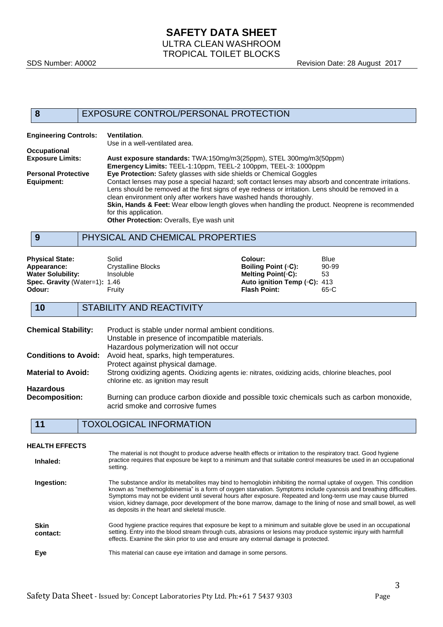#### **8** EXPOSURE CONTROL/PERSONAL PROTECTION

| <b>Engineering Controls:</b> | Ventilation.<br>Use in a well-ventilated area.                                                                                                                                                                                                                                                                                                                                                                            |
|------------------------------|---------------------------------------------------------------------------------------------------------------------------------------------------------------------------------------------------------------------------------------------------------------------------------------------------------------------------------------------------------------------------------------------------------------------------|
| Occupational                 |                                                                                                                                                                                                                                                                                                                                                                                                                           |
| <b>Exposure Limits:</b>      | Aust exposure standards: TWA:150mg/m3(25ppm), STEL 300mg/m3(50ppm)                                                                                                                                                                                                                                                                                                                                                        |
|                              | Emergency Limits: TEEL-1:10ppm, TEEL-2 100ppm, TEEL-3: 1000ppm                                                                                                                                                                                                                                                                                                                                                            |
| <b>Personal Protective</b>   | <b>Eye Protection:</b> Safety glasses with side shields or Chemical Goggles                                                                                                                                                                                                                                                                                                                                               |
| Equipment:                   | Contact lenses may pose a special hazard; soft contact lenses may absorb and concentrate irritations.<br>Lens should be removed at the first signs of eye redness or irritation. Lens should be removed in a<br>clean environment only after workers have washed hands thoroughly.<br><b>Skin, Hands &amp; Feet:</b> Wear elbow length gloves when handling the product. Neoprene is recommended<br>for this application. |
|                              | Other Protection: Overalls, Eye wash unit                                                                                                                                                                                                                                                                                                                                                                                 |
| 9                            | PHYSICAL AND CHEMICAL PROPERTIES                                                                                                                                                                                                                                                                                                                                                                                          |
|                              |                                                                                                                                                                                                                                                                                                                                                                                                                           |

# **Physical State:** Solid Solid **Colour:** Blue Blue **Colour:** Blue Blue **Colour:** Blue Blue **Appearance:** Crystalline Blocks **Colour:** Boiling Point ( $\circ$ C): 90-99

| .                             |                    |                                      | -------- |
|-------------------------------|--------------------|--------------------------------------|----------|
| Appearance:                   | Crystalline Blocks | Boiling Point (∘C):                  | 90-99    |
| Water Solubility:             | Insoluble          | Meltina Point(∘C):                   | 53       |
| Spec. Gravity (Water=1): 1.46 |                    | Auto ignition Temp ( $\circ$ C): 413 |          |
| Odour:                        | Fruitv             | <b>Flash Point:</b>                  | 65∘C     |
|                               |                    |                                      |          |

**10** STABILITY AND REACTIVITY

| <b>Chemical Stability:</b>  | Product is stable under normal ambient conditions.<br>Unstable in presence of incompatible materials.<br>Hazardous polymerization will not occur |
|-----------------------------|--------------------------------------------------------------------------------------------------------------------------------------------------|
| <b>Conditions to Avoid:</b> | Avoid heat, sparks, high temperatures.                                                                                                           |
|                             | Protect against physical damage.                                                                                                                 |
| <b>Material to Avoid:</b>   | Strong oxidizing agents. Oxidizing agents ie: nitrates, oxidizing acids, chlorine bleaches, pool<br>chlorine etc. as ignition may result         |
| <b>Hazardous</b>            |                                                                                                                                                  |
| <b>Decomposition:</b>       | Burning can produce carbon dioxide and possible toxic chemicals such as carbon monoxide,<br>acrid smoke and corrosive fumes                      |

# **11** TOXOLOGICAL INFORMATION

| <b>HEALTH EFFECTS</b>   |                                                                                                                                                                                                                                                                                                                                                                                                                                                                                                                                |
|-------------------------|--------------------------------------------------------------------------------------------------------------------------------------------------------------------------------------------------------------------------------------------------------------------------------------------------------------------------------------------------------------------------------------------------------------------------------------------------------------------------------------------------------------------------------|
| Inhaled:                | The material is not thought to produce adverse health effects or irritation to the respiratory tract. Good hygiene<br>practice requires that exposure be kept to a minimum and that suitable control measures be used in an occupational<br>setting.                                                                                                                                                                                                                                                                           |
| Ingestion:              | The substance and/or its metabolites may bind to hemoglobin inhibiting the normal uptake of oxygen. This condition<br>known as "methemoglobinemia" is a form of oxygen starvation. Symptoms include cyanosis and breathing difficulties.<br>Symptoms may not be evident until several hours after exposure. Repeated and long-term use may cause blurred<br>vision, kidney damage, poor development of the bone marrow, damage to the lining of nose and small bowel, as well<br>as deposits in the heart and skeletal muscle. |
| <b>Skin</b><br>contact: | Good hygiene practice requires that exposure be kept to a minimum and suitable glove be used in an occupational<br>setting. Entry into the blood stream through cuts, abrasions or lesions may produce systemic injury with harmfull<br>effects. Examine the skin prior to use and ensure any external damage is protected.                                                                                                                                                                                                    |
| Eye                     | This material can cause eye irritation and damage in some persons.                                                                                                                                                                                                                                                                                                                                                                                                                                                             |